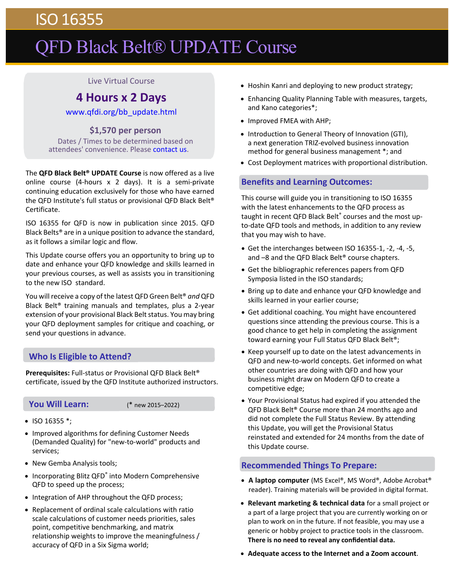## ISO 16355

# QFD Black Belt® UPDATE Course

#### Live Virtual Course

### **4 Hours x 2 Days**

[www.qfdi.org/bb\\_update.html](http://qfdi.org/bb_update.html)

**\$1,570 per person** Dates / Times to be determined based on attendees' convenience. Please [contact us.](mailto:contact@qfdi.org)

The **QFD Black Belt® UPDATE Course** is now offered as a live online course (4‐hours x 2 days). It is a semi‐private continuing education exclusively for those who have earned the QFD Institute's full status or provisional QFD Black Belt® Certificate.

ISO 16355 for QFD is now in publication since 2015. QFD Black Belts® are in a unique position to advance the standard, as it follows a similar logic and flow.

This Update course offers you an opportunity to bring up to date and enhance your QFD knowledge and skills learned in your previous courses, as well as assists you in transitioning to the new ISO standard.

You will receive a copy of the latest QFD Green Belt® *and* QFD Black Belt<sup>®</sup> training manuals and templates, plus a 2-year extension of your provisional Black Belt status. You may bring your QFD deployment samples for critique and coaching, or send your questions in advance.

#### **Who Is Eligible to Attend?**

**Prerequisites:** Full‐status or Provisional QFD Black Belt® certificate, issued by the QFD Institute authorized instructors.

#### **You Will Learn:**  (\* new 2015–2022)

- $\bullet$  ISO 16355  $*$ ;
- Improved algorithms for defining Customer Needs (Demanded Quality) for "new‐to‐world" products and services;
- New Gemba Analysis tools;
- Incorporating Blitz QFD® into Modern Comprehensive QFD to speed up the process;
- Integration of AHP throughout the QFD process;
- Replacement of ordinal scale calculations with ratio scale calculations of customer needs priorities, sales point, competitive benchmarking, and matrix relationship weights to improve the meaningfulness / accuracy of QFD in a Six Sigma world;
- Hoshin Kanri and deploying to new product strategy;
- Enhancing Quality Planning Table with measures, targets, and Kano categories\*;
- Improved FMEA with AHP;
- Introduction to General Theory of Innovation (GTI), a next generation TRIZ‐evolved business innovation method for general business management \*; and
- Cost Deployment matrices with proportional distribution.

#### **Benefits and Learning Outcomes:**

This course will guide you in transitioning to ISO 16355 with the latest enhancements to the QFD process as taught in recent QFD Black Belt® courses and the most up‐ to‐date QFD tools and methods, in addition to any review that you may wish to have.

- Get the interchanges between ISO 16355‐1, ‐2, ‐4, ‐5, and –8 and the QFD Black Belt® course chapters.
- Get the bibliographic references papers from QFD Symposia listed in the ISO standards;
- Bring up to date and enhance your QFD knowledge and skills learned in your earlier course;
- Get additional coaching. You might have encountered questions since attending the previous course. This is a good chance to get help in completing the assignment toward earning your Full Status QFD Black Belt®;
- Keep yourself up to date on the latest advancements in QFD and new‐to‐world concepts. Get informed on what other countries are doing with QFD and how your business might draw on Modern QFD to create a competitive edge;
- Your Provisional Status had expired if you attended the QFD Black Belt® Course more than 24 months ago and did not complete the Full Status Review. By attending this Update, you will get the Provisional Status reinstated and extended for 24 months from the date of this Update course.

#### **Recommended Things To Prepare:**

- **A laptop computer** (MS Excel®, MS Word®, Adobe Acrobat® reader). Training materials will be provided in digital format.
- **Relevant marketing & technical data** for a small project or a part of a large project that you are currently working on or plan to work on in the future. If not feasible, you may use a generic or hobby project to practice tools in the classroom. **There is no need to reveal any confidential data.**
- **Adequate access to the Internet and a Zoom account**.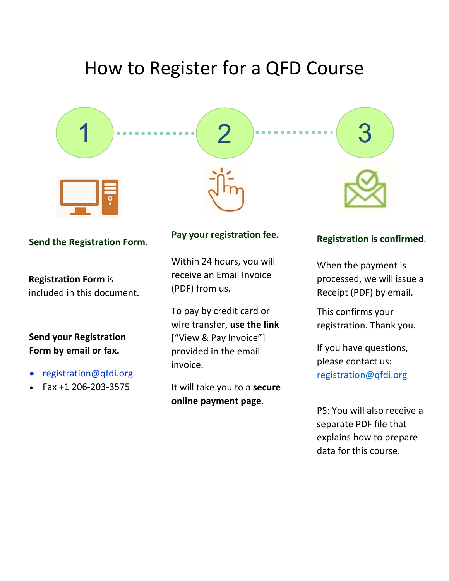# How to Register for a QFD Course



#### **Send the Registration Form.**

**Registration Form** is included in this document.

## **Send your Registration Form by email or fax.**

- [registration@qfdi.org](mailto:registration@qfdi.org)
- Fax +1 206‐203‐3575

### **Pay your registration fee.**

Within 24 hours, you will receive an Email Invoice (PDF) from us.

To pay by credit card or wire transfer, **use the link** ["View & Pay Invoice"] provided in the email invoice.

It will take you to a **secure online payment page**.

**Registration is confirmed**.

When the payment is processed, we will issue a Receipt (PDF) by email.

This confirms your registration. Thank you.

If you have questions, please contact us: [registration@qfdi.org](mailto:registration@qfdi.org) 

PS: You will also receive a separate PDF file that explains how to prepare data for this course.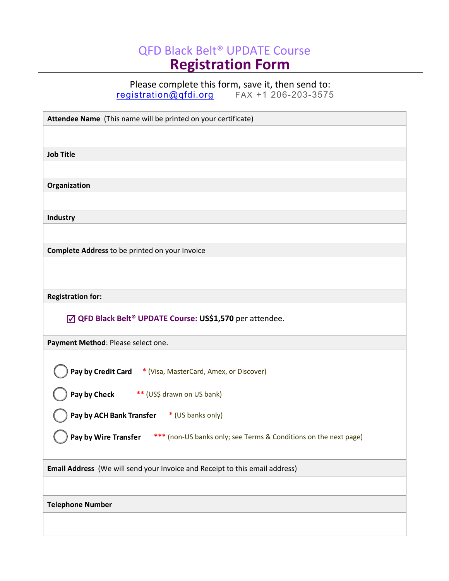## QFD Black Belt® UPDATE Course **Registration Form**

Please complete this form, save it, then send to:

[registration@qfdi.org](mailto:registration@qfdi.org) FAX +1 206-203-3575

| Attendee Name (This name will be printed on your certificate)                            |
|------------------------------------------------------------------------------------------|
|                                                                                          |
| <b>Job Title</b>                                                                         |
|                                                                                          |
| Organization                                                                             |
|                                                                                          |
| Industry                                                                                 |
|                                                                                          |
| Complete Address to be printed on your Invoice                                           |
|                                                                                          |
|                                                                                          |
| <b>Registration for:</b>                                                                 |
| ☑ QFD Black Belt <sup>®</sup> UPDATE Course: US\$1,570 per attendee.                     |
|                                                                                          |
| Payment Method: Please select one.                                                       |
|                                                                                          |
| Pay by Credit Card * (Visa, MasterCard, Amex, or Discover)                               |
| Pay by Check ** (US\$ drawn on US bank)                                                  |
| Pay by ACH Bank Transfer<br>* (US banks only)                                            |
|                                                                                          |
| Pay by Wire Transfer<br>*** (non-US banks only; see Terms & Conditions on the next page) |
|                                                                                          |
| Email Address (We will send your Invoice and Receipt to this email address)              |
|                                                                                          |
| <b>Telephone Number</b>                                                                  |
|                                                                                          |
|                                                                                          |